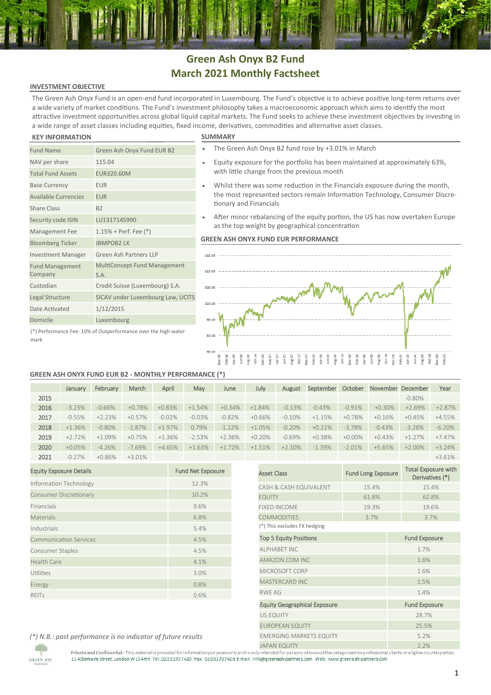# **Green Ash Onyx B2 Fund March 2021 Monthly Factsheet**

# **INVESTMENT OBJECTIVE**

The Green Ash Onyx Fund is an open-end fund incorporated in Luxembourg. The Fund's objective is to achieve positive long-term returns over a wide variety of market conditions. The Fund's investment philosophy takes a macroeconomic approach which aims to identify the most attractive investment opportunities across global liquid capital markets. The Fund seeks to achieve these investment objectives by investing in a wide range of asset classes including equities, fixed income, derivatives, commodities and alternative asset classes.

## **KEY INFORMATION SUMMARY**

| <b>Fund Name</b>                  | Green Ash Onyx Fund EUR B2           |
|-----------------------------------|--------------------------------------|
| NAV per share                     | 115.04                               |
| <b>Total Fund Assets</b>          | EUR320.60M                           |
| <b>Base Currency</b>              | <b>EUR</b>                           |
| <b>Available Currencies</b>       | <b>EUR</b>                           |
| <b>Share Class</b>                | <b>B2</b>                            |
| Security code ISIN                | LU1317145990                         |
| Management Fee                    | $1.15%$ + Perf. Fee $(*)$            |
| <b>Bloomberg Ticker</b>           | <b>JBMPOB2LX</b>                     |
| <b>Investment Manager</b>         | Green Ash Partners IIP               |
| <b>Fund Management</b><br>Company | MultiConcept Fund Management<br>S.A. |
| Custodian                         | Credit Suisse (Luxembourg) S.A.      |
| Legal Structure                   | SICAV under Luxembourg Law, UCITS    |
| Date Activated                    | 1/12/2015                            |
| Domicile                          | Luxembourg                           |
|                                   |                                      |

- The Green Ash Onyx B2 fund rose by +3.01% in March
- Equity exposure for the portfolio has been maintained at approximately 63%, with little change from the previous month
- Whilst there was some reduction in the Financials exposure during the month, the most represented sectors remain Information Technology, Consumer Discretionary and Financials
- After minor rebalancing of the equity portion, the US has now overtaken Europe as the top weight by geographical concentration

# **GREEN ASH ONYX FUND EUR PERFORMANCE**



# (\*) Performance Fee: 10% of Outperformance over the high water mark

# **GREEN ASH ONYX FUND EUR B2 - MONTHLY PERFORMANCE (\*)**

|      | January  | February | March     | April    | May      | June     | July     | August   | September | October   |          | November December | Year     |
|------|----------|----------|-----------|----------|----------|----------|----------|----------|-----------|-----------|----------|-------------------|----------|
| 2015 |          |          |           |          |          |          |          |          |           |           |          | $-0.80\%$         |          |
| 2016 | $-3.23%$ | $-0.66%$ | $+0.78%$  | $+0.83%$ | $+1.54%$ | $+0.34%$ | $+1.84%$ | $-0.13%$ | $-0.43%$  | $-0.91%$  | $+0.30%$ | $+2.69%$          | $+2.87%$ |
| 2017 | $-0.55%$ | $+2.23%$ | $+0.57%$  | $-0.02%$ | $-0.03%$ | $-0.82%$ | $+0.66%$ | $-0.10%$ | $+1.15%$  | $+0.78%$  | $+0.16%$ | $+0.45%$          | $+4.55%$ |
| 2018 | $+1.36%$ | $-0.80%$ | $-1.87\%$ | $+1.97%$ | 0.79%    | $-1.22%$ | $+1.05%$ | $-0.20%$ | $+0.21%$  | $-3.78%$  | $-0.43%$ | $-3.28%$          | $-6.20%$ |
| 2019 | $+2.72%$ | $+1.09%$ | $+0.75%$  | $+1.36%$ | $-2.53%$ | $+2.36%$ | $+0.20%$ | $-0.69%$ | $+0.38%$  | $+0.00\%$ | $+0.43%$ | $+1.27%$          | $+7.47%$ |
| 2020 | $+0.05%$ | $-4.26%$ | $-7.69%$  | $+4.65%$ | $+1.63%$ | $+1.72%$ | $+1.51%$ | $+2.10%$ | $-1.39%$  | $-2.01%$  | $+5.65%$ | $+2.00%$          | $+3.24%$ |
| 2021 | $-0.27%$ | $+0.86%$ | $+3.01%$  |          |          |          |          |          |           |           |          |                   | $+3.61%$ |

| <b>Equity Exposure Details</b> | <b>Fund Net Exposure</b> |
|--------------------------------|--------------------------|
| Information Technology         | 12.3%                    |
| <b>Consumer Discretionary</b>  | 10.2%                    |
| Financials                     | 9.6%                     |
| <b>Materials</b>               | 6.8%                     |
| Industrials                    | 5.4%                     |
| <b>Communication Services</b>  | 4.5%                     |
| Consumer Staples               | 4.5%                     |
| <b>Health Care</b>             | 4.1%                     |
| Utilities                      | 3.0%                     |
| Energy                         | 0.8%                     |
| <b>REITS</b>                   | 0.6%                     |

|                                     |                           | $+3.61%$                                      |
|-------------------------------------|---------------------------|-----------------------------------------------|
| <b>Asset Class</b>                  | <b>Fund Long Exposure</b> | <b>Total Exposure with</b><br>Derivatives (*) |
| CASH & CASH EQUIVALENT              | 15.4%                     | 15.4%                                         |
| <b>EQUITY</b>                       | 61.6%                     | 62.8%                                         |
| <b>FIXED INCOME</b>                 | 19.3%                     | 19.6%                                         |
| <b>COMMODITIES</b>                  | 3.7%                      | 3.7%                                          |
| (*) This excludes FX hedging        |                           |                                               |
| <b>Top 5 Equity Positions</b>       |                           | <b>Fund Exposure</b>                          |
| <b>ALPHABET INC</b>                 |                           | 1.7%                                          |
| AMAZON.COM INC                      |                           | 1.6%                                          |
| MICROSOFT CORP                      |                           | 1.6%                                          |
| <b>MASTERCARD INC</b>               |                           | 1.5%                                          |
| <b>RWF AG</b>                       |                           | 1.4%                                          |
| <b>Equity Geographical Exposure</b> |                           | <b>Fund Exposure</b>                          |
| <b>US EQUITY</b>                    |                           | 28.7%                                         |
| <b>EUROPEAN EQUITY</b>              |                           | 25.5%                                         |
| <b>EMERGING MARKETS EQUITY</b>      |                           | 5.2%                                          |
| IADAN EQUITY                        |                           | 7.70/                                         |

*(\*) N.B.: past performance is no indicator of future results*

**GREEN ASH** 

Private and Confidential-This material is provided for information purposes only and is only intended for persons who would be categorised as professional clients ore ligible counterparties.<br>11 Albemarle Street, London W1S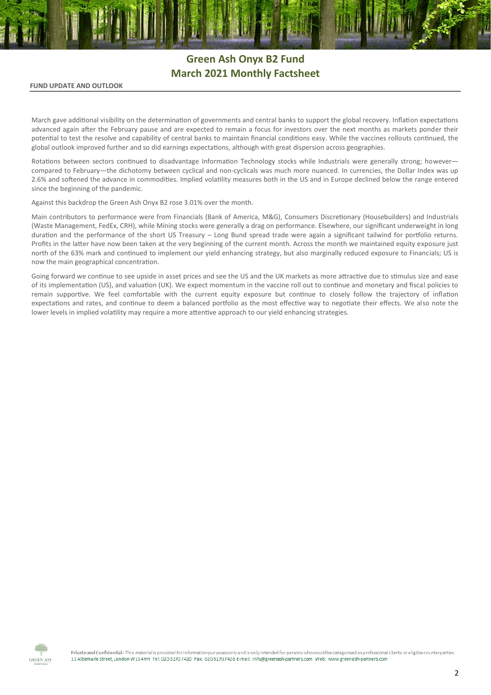# **Green Ash Onyx B2 Fund March 2021 Monthly Factsheet**

# **FUND UPDATE AND OUTLOOK**

March gave additional visibility on the determination of governments and central banks to support the global recovery. Inflation expectations advanced again after the February pause and are expected to remain a focus for investors over the next months as markets ponder their potential to test the resolve and capability of central banks to maintain financial conditions easy. While the vaccines rollouts continued, the global outlook improved further and so did earnings expectations, although with great dispersion across geographies.

Rotations between sectors continued to disadvantage Information Technology stocks while Industrials were generally strong; however compared to February—the dichotomy between cyclical and non-cyclicals was much more nuanced. In currencies, the Dollar Index was up 2.6% and softened the advance in commodities. Implied volatility measures both in the US and in Europe declined below the range entered since the beginning of the pandemic.

Against this backdrop the Green Ash Onyx B2 rose 3.01% over the month.

Main contributors to performance were from Financials (Bank of America, M&G), Consumers Discretionary (Housebuilders) and Industrials (Waste Management, FedEx, CRH), while Mining stocks were generally a drag on performance. Elsewhere, our significant underweight in long duration and the performance of the short US Treasury – Long Bund spread trade were again a significant tailwind for portfolio returns. Profits in the latter have now been taken at the very beginning of the current month. Across the month we maintained equity exposure just north of the 63% mark and continued to implement our yield enhancing strategy, but also marginally reduced exposure to Financials; US is now the main geographical concentration.

Going forward we continue to see upside in asset prices and see the US and the UK markets as more attractive due to stimulus size and ease of its implementation (US), and valuation (UK). We expect momentum in the vaccine roll out to continue and monetary and fiscal policies to remain supportive. We feel comfortable with the current equity exposure but continue to closely follow the trajectory of inflation expectations and rates, and continue to deem a balanced portfolio as the most effective way to negotiate their effects. We also note the lower levels in implied volatility may require a more attentive approach to our yield enhancing strategies.



Private and Confidential - This material is provided for information purposes only and is only intended for persons who would be categorised as professional clients or eligible counterparties. 11 Albemark Street, London W154HH Tel: 020 3170 7420 Fax: 02031707426 E-mail: info@greenash-partners.com Web: www.greenash-partners.com